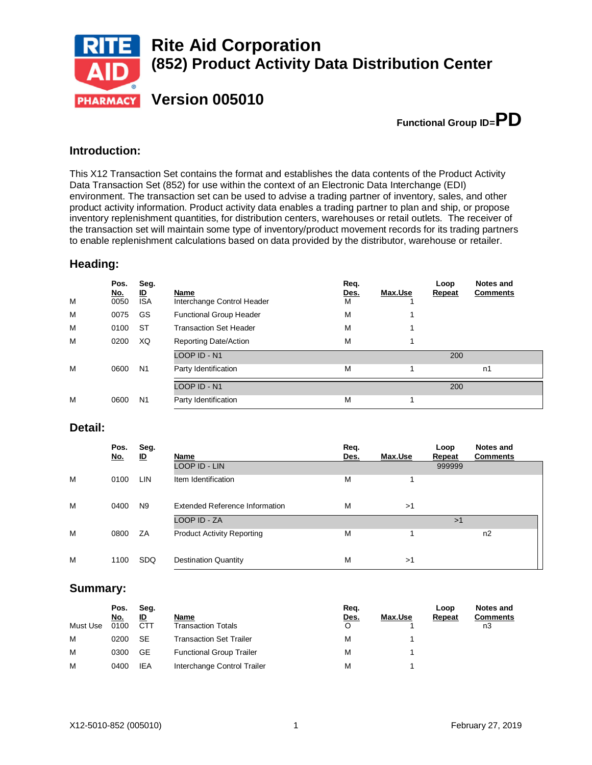

**Functional Group ID=PD**

## **Introduction:**

This X12 Transaction Set contains the format and establishes the data contents of the Product Activity Data Transaction Set (852) for use within the context of an Electronic Data Interchange (EDI) environment. The transaction set can be used to advise a trading partner of inventory, sales, and other product activity information. Product activity data enables a trading partner to plan and ship, or propose inventory replenishment quantities, for distribution centers, warehouses or retail outlets. The receiver of the transaction set will maintain some type of inventory/product movement records for its trading partners to enable replenishment calculations based on data provided by the distributor, warehouse or retailer.

### **Heading:**

| M | Pos.<br><u>No.</u><br>0050 | Seg.<br>ID<br><b>ISA</b> | Name<br>Interchange Control Header | Req.<br><u>Des.</u><br>м | Max.Use | Loop<br><b>Repeat</b> | Notes and<br><b>Comments</b> |
|---|----------------------------|--------------------------|------------------------------------|--------------------------|---------|-----------------------|------------------------------|
| M | 0075                       | GS                       | <b>Functional Group Header</b>     | М                        |         |                       |                              |
| M | 0100                       | <b>ST</b>                | <b>Transaction Set Header</b>      | М                        |         |                       |                              |
| M | 0200                       | XQ                       | Reporting Date/Action              | М                        |         |                       |                              |
|   |                            |                          | LOOP ID - N1                       |                          |         | 200                   |                              |
| M | 0600                       | N <sub>1</sub>           | Party Identification               | М                        |         |                       | n1                           |
|   |                            |                          | LOOP ID - N1                       |                          |         | 200                   |                              |
|   |                            |                          |                                    |                          |         |                       |                              |
| M | 0600                       | N <sub>1</sub>           | Party Identification               | М                        |         |                       |                              |

### **Detail:**

|   | Pos.<br><u>No.</u> | Seg.<br>ID     | Name                              | Req.<br>Des. | Max.Use | Loop<br>Repeat | Notes and<br><b>Comments</b> |
|---|--------------------|----------------|-----------------------------------|--------------|---------|----------------|------------------------------|
|   |                    |                | LOOP ID - LIN                     |              |         | 999999         |                              |
| M | 0100               | <b>LIN</b>     | Item Identification               | М            |         |                |                              |
| M | 0400               | N <sub>9</sub> | Extended Reference Information    | М            | >1      |                |                              |
|   |                    |                | LOOP ID - ZA                      |              |         | >1             |                              |
| M | 0800               | ZA             | <b>Product Activity Reporting</b> | М            |         |                | n2                           |
| M | 1100               | <b>SDQ</b>     | <b>Destination Quantity</b>       | М            | >1      |                |                              |

### **Summary:**

|          | Pos.<br>No. | Seg.<br>ID | Name                            | Reg.<br>Des. | Max.Use | Loop<br>Repeat | Notes and<br><b>Comments</b> |
|----------|-------------|------------|---------------------------------|--------------|---------|----------------|------------------------------|
| Must Use | 0100        | CTT        | <b>Transaction Totals</b>       | O            |         |                | nЗ                           |
| M        | 0200        | <b>SE</b>  | Transaction Set Trailer         | М            |         |                |                              |
| M        | 0300        | GE         | <b>Functional Group Trailer</b> | М            |         |                |                              |
| M        | 0400        | IEA        | Interchange Control Trailer     | М            |         |                |                              |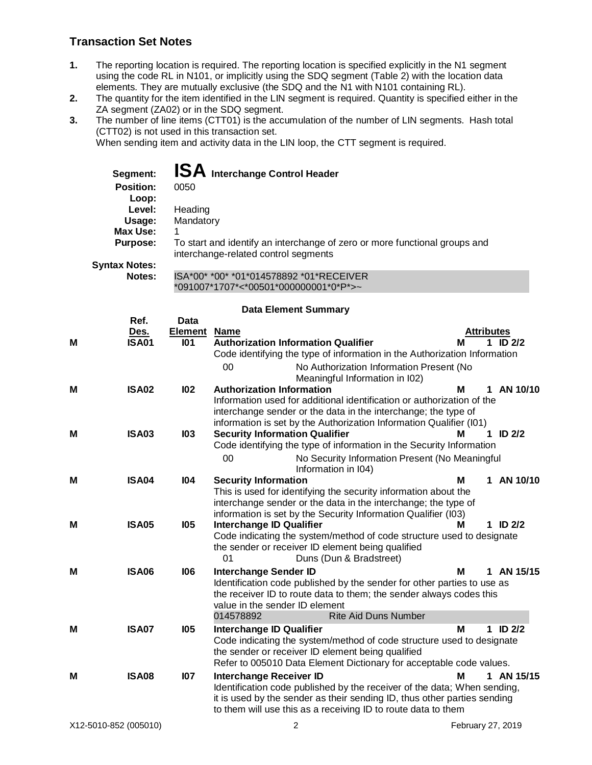# **Transaction Set Notes**

- **1.** The reporting location is required. The reporting location is specified explicitly in the N1 segment using the code RL in N101, or implicitly using the SDQ segment (Table 2) with the location data elements. They are mutually exclusive (the SDQ and the N1 with N101 containing RL).
- **2.** The quantity for the item identified in the LIN segment is required. Quantity is specified either in the ZA segment (ZA02) or in the SDQ segment.
- **3.** The number of line items (CTT01) is the accumulation of the number of LIN segments. Hash total (CTT02) is not used in this transaction set.

When sending item and activity data in the LIN loop, the CTT segment is required.

\*091007\*1707\*<\*00501\*000000001\*0\*P\*>~

| Segment:                  | <b>ISA</b> Interchange Control Header                                                                              |
|---------------------------|--------------------------------------------------------------------------------------------------------------------|
| <b>Position:</b><br>Loop: | 0050                                                                                                               |
| Level:                    | Heading                                                                                                            |
| Usage:                    | Mandatory                                                                                                          |
| Max Use:                  |                                                                                                                    |
| <b>Purpose:</b>           | To start and identify an interchange of zero or more functional groups and<br>interchange-related control segments |
| <b>Syntax Notes:</b>      |                                                                                                                    |
| Notes:                    | ISA*00* *00* *01*014578892 *01*RECEIVER                                                                            |

#### **Data Element Summary**

|   | Ref.         | <b>Data</b>    |                                                                                                   |                   |    |              |
|---|--------------|----------------|---------------------------------------------------------------------------------------------------|-------------------|----|--------------|
|   | Des.         | <b>Element</b> | <b>Name</b>                                                                                       | <b>Attributes</b> |    |              |
| M | <b>ISA01</b> | <b>101</b>     | <b>Authorization Information Qualifier</b>                                                        | м                 |    | 1 ID $2/2$   |
|   |              |                | Code identifying the type of information in the Authorization Information                         |                   |    |              |
|   |              |                | 00<br>No Authorization Information Present (No                                                    |                   |    |              |
| M | <b>ISA02</b> | <b>102</b>     | Meaningful Information in I02)<br><b>Authorization Information</b>                                | М                 |    | 1 AN 10/10   |
|   |              |                | Information used for additional identification or authorization of the                            |                   |    |              |
|   |              |                | interchange sender or the data in the interchange; the type of                                    |                   |    |              |
|   |              |                | information is set by the Authorization Information Qualifier (I01)                               |                   |    |              |
| М | <b>ISA03</b> | 103            | <b>Security Information Qualifier</b>                                                             | м                 |    | 1 ID $2/2$   |
|   |              |                | Code identifying the type of information in the Security Information                              |                   |    |              |
|   |              |                | 00<br>No Security Information Present (No Meaningful<br>Information in I04)                       |                   |    |              |
| M | <b>ISA04</b> | 104            | <b>Security Information</b>                                                                       | Μ                 | 1  | AN 10/10     |
|   |              |                | This is used for identifying the security information about the                                   |                   |    |              |
|   |              |                | interchange sender or the data in the interchange; the type of                                    |                   |    |              |
| M | <b>ISA05</b> | <b>105</b>     | information is set by the Security Information Qualifier (I03)<br><b>Interchange ID Qualifier</b> | м                 |    | 1 ID $2/2$   |
|   |              |                | Code indicating the system/method of code structure used to designate                             |                   |    |              |
|   |              |                | the sender or receiver ID element being qualified                                                 |                   |    |              |
|   |              |                | Duns (Dun & Bradstreet)<br>01                                                                     |                   |    |              |
| М | <b>ISA06</b> | <b>106</b>     | <b>Interchange Sender ID</b>                                                                      | M                 | 1. | AN 15/15     |
|   |              |                | Identification code published by the sender for other parties to use as                           |                   |    |              |
|   |              |                | the receiver ID to route data to them; the sender always codes this                               |                   |    |              |
|   |              |                | value in the sender ID element<br>014578892<br><b>Rite Aid Duns Number</b>                        |                   |    |              |
| м | <b>ISA07</b> | <b>105</b>     | <b>Interchange ID Qualifier</b>                                                                   | М                 |    | $1$ ID $2/2$ |
|   |              |                | Code indicating the system/method of code structure used to designate                             |                   |    |              |
|   |              |                | the sender or receiver ID element being qualified                                                 |                   |    |              |
|   |              |                | Refer to 005010 Data Element Dictionary for acceptable code values.                               |                   |    |              |
| м | <b>ISA08</b> | 107            | <b>Interchange Receiver ID</b>                                                                    | м                 |    | 1 AN 15/15   |
|   |              |                | Identification code published by the receiver of the data; When sending,                          |                   |    |              |
|   |              |                | it is used by the sender as their sending ID, thus other parties sending                          |                   |    |              |
|   |              |                | to them will use this as a receiving ID to route data to them                                     |                   |    |              |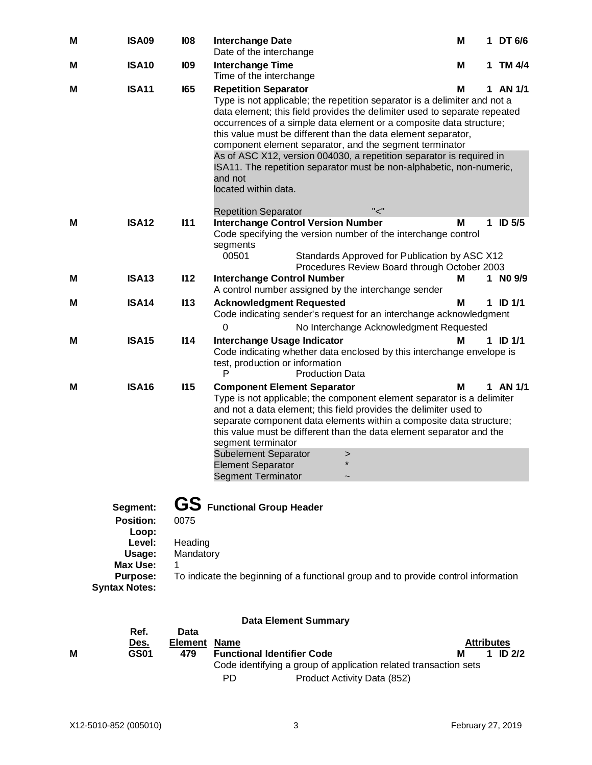| M | <b>ISA09</b>                                                                                                            | 108                          | <b>Interchange Date</b><br>Date of the interchange                                                                                                                                                                                                                                                                                                                                                                                                                                                                                                                          | M | 1  | DT 6/6        |
|---|-------------------------------------------------------------------------------------------------------------------------|------------------------------|-----------------------------------------------------------------------------------------------------------------------------------------------------------------------------------------------------------------------------------------------------------------------------------------------------------------------------------------------------------------------------------------------------------------------------------------------------------------------------------------------------------------------------------------------------------------------------|---|----|---------------|
| М | <b>ISA10</b>                                                                                                            | <b>109</b>                   | <b>Interchange Time</b><br>Time of the interchange                                                                                                                                                                                                                                                                                                                                                                                                                                                                                                                          | Μ | 1. | TM 4/4        |
| М | <b>ISA11</b>                                                                                                            | <b>165</b>                   | <b>Repetition Separator</b><br>Type is not applicable; the repetition separator is a delimiter and not a<br>data element; this field provides the delimiter used to separate repeated<br>occurrences of a simple data element or a composite data structure;<br>this value must be different than the data element separator,<br>component element separator, and the segment terminator<br>As of ASC X12, version 004030, a repetition separator is required in<br>ISA11. The repetition separator must be non-alphabetic, non-numeric,<br>and not<br>located within data. | м |    | 1 AN 1/1      |
| M | <b>ISA12</b>                                                                                                            | 111                          | "ح"<br><b>Repetition Separator</b><br><b>Interchange Control Version Number</b><br>Code specifying the version number of the interchange control<br>segments<br>00501<br>Standards Approved for Publication by ASC X12<br>Procedures Review Board through October 2003                                                                                                                                                                                                                                                                                                      | M | 1. | <b>ID 5/5</b> |
| М | <b>ISA13</b>                                                                                                            | 112                          | <b>Interchange Control Number</b><br>A control number assigned by the interchange sender                                                                                                                                                                                                                                                                                                                                                                                                                                                                                    | М |    | 1 NO 9/9      |
| Μ | <b>ISA14</b>                                                                                                            | 113                          | <b>Acknowledgment Requested</b><br>Code indicating sender's request for an interchange acknowledgment<br>0<br>No Interchange Acknowledgment Requested                                                                                                                                                                                                                                                                                                                                                                                                                       | М |    | 1 ID $1/1$    |
| м | <b>ISA15</b>                                                                                                            | 114                          | Interchange Usage Indicator<br>Code indicating whether data enclosed by this interchange envelope is<br>test, production or information<br><b>Production Data</b><br>P                                                                                                                                                                                                                                                                                                                                                                                                      | М |    | 1 ID 1/1      |
| М | <b>ISA16</b>                                                                                                            | 115                          | <b>Component Element Separator</b><br>Type is not applicable; the component element separator is a delimiter<br>and not a data element; this field provides the delimiter used to<br>separate component data elements within a composite data structure;<br>this value must be different than the data element separator and the<br>segment terminator<br><b>Subelement Separator</b><br>><br><b>Element Separator</b><br><b>Segment Terminator</b>                                                                                                                         | М |    | 1 AN 1/1      |
|   | Segment:<br><b>Position:</b><br>Loop:<br>Level:<br>Usage:<br><b>Max Use:</b><br><b>Purpose:</b><br><b>Syntax Notes:</b> | 0075<br>Heading<br>Mandatory | <b>GS</b> Functional Group Header<br>To indicate the beginning of a functional group and to provide control information                                                                                                                                                                                                                                                                                                                                                                                                                                                     |   |    |               |
|   |                                                                                                                         |                              | <b>Data Element Summary</b>                                                                                                                                                                                                                                                                                                                                                                                                                                                                                                                                                 |   |    |               |

| М | Ref.<br>Des.<br><b>GS01</b> | Data<br><b>Element Name</b><br>479 |     | <b>Functional Identifier Code</b>                                | <b>Attributes</b><br>M | 1 ID $2/2$ |  |
|---|-----------------------------|------------------------------------|-----|------------------------------------------------------------------|------------------------|------------|--|
|   |                             |                                    |     | Code identifying a group of application related transaction sets |                        |            |  |
|   |                             |                                    | PD. | Product Activity Data (852)                                      |                        |            |  |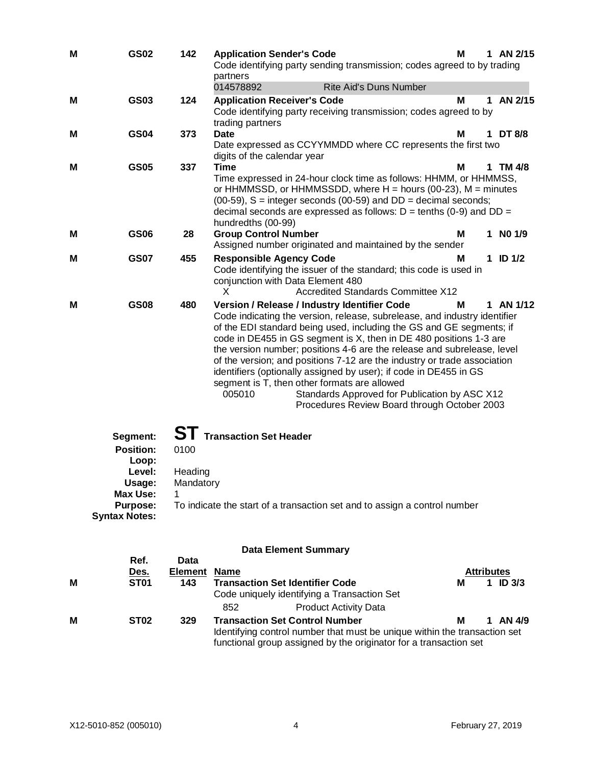| M | <b>GS02</b>                                                                                                      | 142                                | <b>Application Sender's Code</b><br>Code identifying party sending transmission; codes agreed to by trading<br>partners<br>014578892<br><b>Rite Aid's Duns Number</b>                                                                                                                                                                                                                                                                                                                                                                                                                                                                                          | м | 1 AN $2/15$                       |
|---|------------------------------------------------------------------------------------------------------------------|------------------------------------|----------------------------------------------------------------------------------------------------------------------------------------------------------------------------------------------------------------------------------------------------------------------------------------------------------------------------------------------------------------------------------------------------------------------------------------------------------------------------------------------------------------------------------------------------------------------------------------------------------------------------------------------------------------|---|-----------------------------------|
| М | <b>GS03</b>                                                                                                      | 124                                | <b>Application Receiver's Code</b><br>Code identifying party receiving transmission; codes agreed to by<br>trading partners                                                                                                                                                                                                                                                                                                                                                                                                                                                                                                                                    | M | AN 2/15<br>1                      |
| Μ | <b>GS04</b>                                                                                                      | 373                                | <b>Date</b><br>Date expressed as CCYYMMDD where CC represents the first two<br>digits of the calendar year                                                                                                                                                                                                                                                                                                                                                                                                                                                                                                                                                     | М | 1 DT 8/8                          |
| м | <b>GS05</b>                                                                                                      | 337                                | Time<br>Time expressed in 24-hour clock time as follows: HHMM, or HHMMSS,<br>or HHMMSSD, or HHMMSSDD, where $H =$ hours (00-23), $M =$ minutes<br>$(00-59)$ , S = integer seconds $(00-59)$ and DD = decimal seconds;<br>decimal seconds are expressed as follows: $D =$ tenths (0-9) and $DD =$<br>hundredths (00-99)                                                                                                                                                                                                                                                                                                                                         | м | 1 TM 4/8                          |
| М | <b>GS06</b>                                                                                                      | 28                                 | <b>Group Control Number</b><br>Assigned number originated and maintained by the sender                                                                                                                                                                                                                                                                                                                                                                                                                                                                                                                                                                         | м | 1 NO 1/9                          |
| Μ | <b>GS07</b>                                                                                                      | 455                                | <b>Responsible Agency Code</b><br>Code identifying the issuer of the standard; this code is used in<br>conjunction with Data Element 480<br><b>Accredited Standards Committee X12</b><br>x                                                                                                                                                                                                                                                                                                                                                                                                                                                                     | м | 1 ID $1/2$                        |
| М | <b>GS08</b>                                                                                                      | 480                                | Version / Release / Industry Identifier Code<br>Code indicating the version, release, subrelease, and industry identifier<br>of the EDI standard being used, including the GS and GE segments; if<br>code in DE455 in GS segment is X, then in DE 480 positions 1-3 are<br>the version number; positions 4-6 are the release and subrelease, level<br>of the version; and positions 7-12 are the industry or trade association<br>identifiers (optionally assigned by user); if code in DE455 in GS<br>segment is T, then other formats are allowed<br>005010<br>Standards Approved for Publication by ASC X12<br>Procedures Review Board through October 2003 | м | 1 AN 1/12                         |
|   | Segment:<br><b>Position:</b><br>Loop:<br>Level:<br>Usage:<br><b>Max Use:</b><br>Purpose:<br><b>Syntax Notes:</b> | 0100<br>Heading<br>Mandatory       | <b>Transaction Set Header</b><br>To indicate the start of a transaction set and to assign a control number                                                                                                                                                                                                                                                                                                                                                                                                                                                                                                                                                     |   |                                   |
|   |                                                                                                                  |                                    | <b>Data Element Summary</b>                                                                                                                                                                                                                                                                                                                                                                                                                                                                                                                                                                                                                                    |   |                                   |
| М | Ref.<br><u>Des.</u><br><b>ST01</b>                                                                               | Data<br><b>Element Name</b><br>143 | <b>Transaction Set Identifier Code</b>                                                                                                                                                                                                                                                                                                                                                                                                                                                                                                                                                                                                                         | Μ | <b>Attributes</b><br>$1$ ID $3/3$ |

| . | <u>.</u>         | 1 T.J |     | Hansacuon oci Iuchingi Couc<br>Code uniquely identifying a Transaction Set                                                                                                              |   | - 112 JI J |
|---|------------------|-------|-----|-----------------------------------------------------------------------------------------------------------------------------------------------------------------------------------------|---|------------|
|   |                  |       | 852 | <b>Product Activity Data</b>                                                                                                                                                            |   |            |
| M | ST <sub>02</sub> | 329   |     | <b>Transaction Set Control Number</b><br>Identifying control number that must be unique within the transaction set<br>functional group assigned by the originator for a transaction set | м | 1 AN $4/9$ |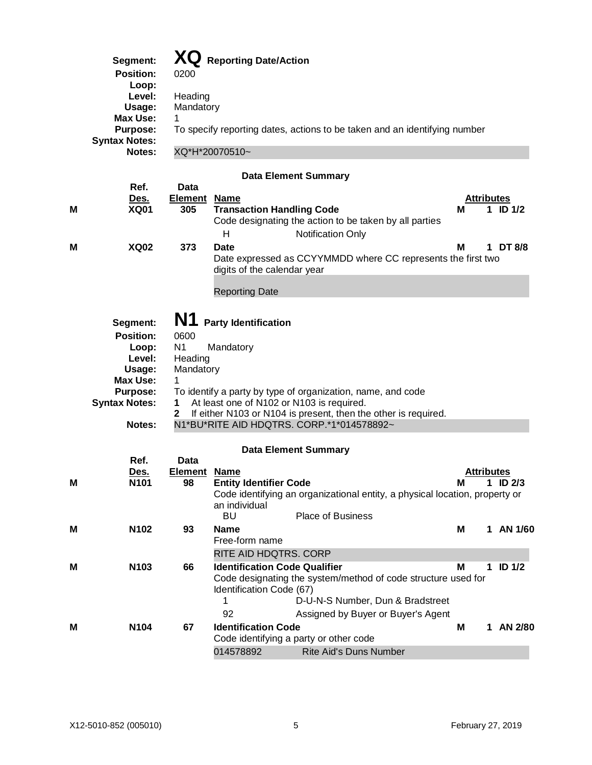|   | Segment:<br><b>Position:</b><br>Loop:<br>Level:<br>Usage:<br><b>Max Use:</b><br><b>Purpose:</b><br><b>Syntax Notes:</b><br>Notes: | 0200<br>Heading<br>Mandatory<br>1                                              | XQ Reporting Date/Action<br>To specify reporting dates, actions to be taken and an identifying number<br>XQ*H*20070510~                                                                                                                                             |   |                   |               |
|---|-----------------------------------------------------------------------------------------------------------------------------------|--------------------------------------------------------------------------------|---------------------------------------------------------------------------------------------------------------------------------------------------------------------------------------------------------------------------------------------------------------------|---|-------------------|---------------|
|   |                                                                                                                                   |                                                                                | <b>Data Element Summary</b>                                                                                                                                                                                                                                         |   |                   |               |
| м | Ref.<br><u>Des.</u><br><b>XQ01</b>                                                                                                | Data<br><b>Element Name</b><br>305                                             | <b>Transaction Handling Code</b><br>Code designating the action to be taken by all parties<br>Н<br><b>Notification Only</b>                                                                                                                                         | м | <b>Attributes</b> | 1 ID $1/2$    |
| м | <b>XQ02</b>                                                                                                                       | 373                                                                            | <b>Date</b><br>Date expressed as CCYYMMDD where CC represents the first two<br>digits of the calendar year                                                                                                                                                          | м |                   | 1 DT 8/8      |
|   |                                                                                                                                   |                                                                                | <b>Reporting Date</b>                                                                                                                                                                                                                                               |   |                   |               |
|   | Segment:<br><b>Position:</b><br>Loop:<br>Level:<br>Usage:<br><b>Max Use:</b><br><b>Purpose:</b><br><b>Syntax Notes:</b><br>Notes: | N1<br>0600<br>N <sub>1</sub><br>Heading<br>Mandatory<br>1<br>1<br>$\mathbf{2}$ | <b>Party Identification</b><br>Mandatory<br>To identify a party by type of organization, name, and code<br>At least one of N102 or N103 is required.<br>If either N103 or N104 is present, then the other is required.<br>N1*BU*RITE AID HDQTRS. CORP.*1*014578892~ |   |                   |               |
|   |                                                                                                                                   |                                                                                | <b>Data Element Summary</b>                                                                                                                                                                                                                                         |   |                   |               |
| M | Ref.<br><u>Des.</u><br>N <sub>101</sub>                                                                                           | Data<br>Element Name<br>98                                                     | <b>Entity Identifier Code</b><br>Code identifying an organizational entity, a physical location, property or<br>an individual<br>BU<br><b>Place of Business</b>                                                                                                     | м | <b>Attributes</b> | 1 ID $2/3$    |
| M | N102                                                                                                                              | 93                                                                             | <b>Name</b>                                                                                                                                                                                                                                                         | м |                   | 1 AN 1/60     |
|   |                                                                                                                                   |                                                                                | Free-form name<br>RITE AID HDQTRS. CORP                                                                                                                                                                                                                             |   |                   |               |
| M | N <sub>103</sub>                                                                                                                  | 66                                                                             | <b>Identification Code Qualifier</b><br>Code designating the system/method of code structure used for<br>Identification Code (67)<br>D-U-N-S Number, Dun & Bradstreet<br>1<br>92<br>Assigned by Buyer or Buyer's Agent                                              | М | 1                 | <b>ID 1/2</b> |
| м | N104                                                                                                                              | 67                                                                             | <b>Identification Code</b>                                                                                                                                                                                                                                          | M |                   | 1 AN 2/80     |
|   |                                                                                                                                   |                                                                                | Code identifying a party or other code<br>Rite Aid's Duns Number<br>014578892                                                                                                                                                                                       |   |                   |               |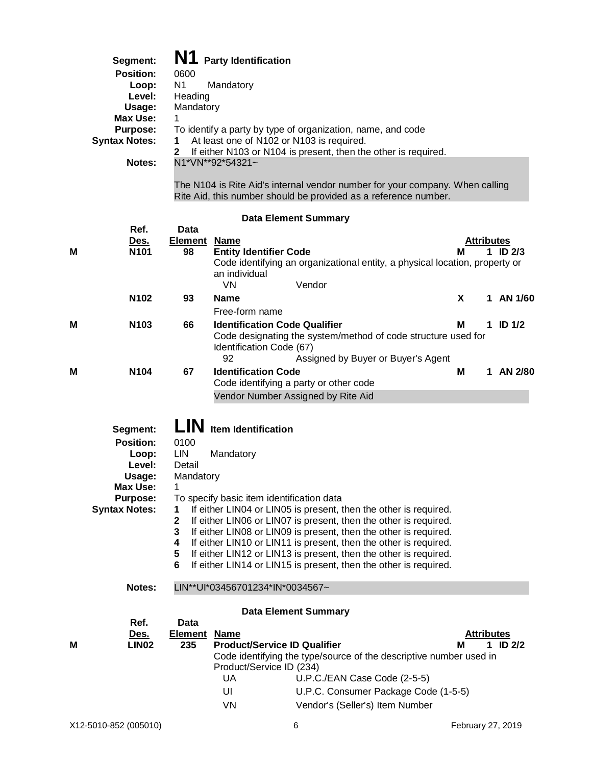|   | Segment:<br><b>Position:</b><br>Loop:<br>Level:<br>Usage:<br><b>Max Use:</b><br><b>Purpose:</b><br><b>Syntax Notes:</b><br><b>Notes:</b> | N1<br>0600<br>N <sub>1</sub><br>Heading<br>Mandatory<br>1.<br>1<br>2                   | <b>Party Identification</b><br>Mandatory<br>To identify a party by type of organization, name, and code<br>At least one of N102 or N103 is required.<br>If either N103 or N104 is present, then the other is required.<br>N1*VN**92*54321~<br>The N104 is Rite Aid's internal vendor number for your company. When calling<br>Rite Aid, this number should be provided as a reference number.                                                                                                                |                        |              |
|---|------------------------------------------------------------------------------------------------------------------------------------------|----------------------------------------------------------------------------------------|--------------------------------------------------------------------------------------------------------------------------------------------------------------------------------------------------------------------------------------------------------------------------------------------------------------------------------------------------------------------------------------------------------------------------------------------------------------------------------------------------------------|------------------------|--------------|
|   |                                                                                                                                          |                                                                                        | <b>Data Element Summary</b>                                                                                                                                                                                                                                                                                                                                                                                                                                                                                  |                        |              |
| М | Ref.<br><u>Des.</u><br>N <sub>101</sub>                                                                                                  | Data<br><b>Element</b><br>98                                                           | <b>Name</b><br><b>Entity Identifier Code</b><br>Code identifying an organizational entity, a physical location, property or<br>an individual<br>Vendor<br><b>VN</b>                                                                                                                                                                                                                                                                                                                                          | <b>Attributes</b><br>м | 1 ID $2/3$   |
|   | N <sub>102</sub>                                                                                                                         | 93                                                                                     | <b>Name</b>                                                                                                                                                                                                                                                                                                                                                                                                                                                                                                  | X                      | 1 AN 1/60    |
| М | N <sub>103</sub>                                                                                                                         | 66                                                                                     | Free-form name<br><b>Identification Code Qualifier</b><br>Code designating the system/method of code structure used for<br>Identification Code (67)                                                                                                                                                                                                                                                                                                                                                          | м                      | 1 ID $1/2$   |
| М | N104                                                                                                                                     | 67                                                                                     | 92<br>Assigned by Buyer or Buyer's Agent<br><b>Identification Code</b><br>Code identifying a party or other code<br>Vendor Number Assigned by Rite Aid                                                                                                                                                                                                                                                                                                                                                       | М                      | 1 AN 2/80    |
|   | Segment:<br><b>Position:</b><br>Loop:<br>Level:<br>Usage:<br>Max Use:<br><b>Purpose:</b><br><b>Syntax Notes:</b>                         | LIN<br>0100<br>LIN<br>Detail<br>Mandatory<br>1<br>1<br>$\mathbf 2$<br>3<br>4<br>5<br>6 | <b>Item Identification</b><br>Mandatory<br>To specify basic item identification data<br>If either LIN04 or LIN05 is present, then the other is required.<br>If either LIN06 or LIN07 is present, then the other is required.<br>If either LIN08 or LIN09 is present, then the other is required.<br>If either LIN10 or LIN11 is present, then the other is required.<br>If either LIN12 or LIN13 is present, then the other is required.<br>If either LIN14 or LIN15 is present, then the other is required. |                        |              |
|   | Notes:                                                                                                                                   |                                                                                        | LIN**UI*03456701234*IN*0034567~                                                                                                                                                                                                                                                                                                                                                                                                                                                                              |                        |              |
| М | Ref.<br><u>Des.</u><br><b>LIN02</b>                                                                                                      | <b>Data</b><br><b>Element</b><br>235                                                   | <b>Data Element Summary</b><br><b>Name</b><br><b>Product/Service ID Qualifier</b><br>Code identifying the type/source of the descriptive number used in<br>Product/Service ID (234)                                                                                                                                                                                                                                                                                                                          | <b>Attributes</b><br>м | $1$ ID $2/2$ |
|   |                                                                                                                                          |                                                                                        | UA<br>U.P.C./EAN Case Code (2-5-5)                                                                                                                                                                                                                                                                                                                                                                                                                                                                           |                        |              |

- UI U.P.C. Consumer Package Code (1-5-5)
- VN Vendor's (Seller's) Item Number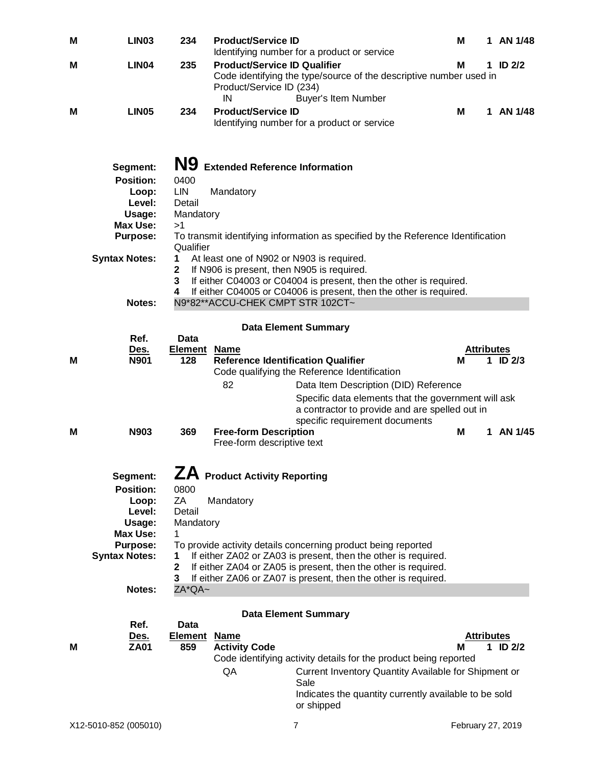| M | <b>LIN03</b>                            | 234                                | <b>Product/Service ID</b>                                             | Identifying number for a product or service                                                                                     | М                 | 1 | AN 1/48      |
|---|-----------------------------------------|------------------------------------|-----------------------------------------------------------------------|---------------------------------------------------------------------------------------------------------------------------------|-------------------|---|--------------|
| Μ | LIN <sub>04</sub>                       | 235                                | <b>Product/Service ID Qualifier</b><br>Product/Service ID (234)<br>IN | Code identifying the type/source of the descriptive number used in<br>Buyer's Item Number                                       | М                 |   | 1 ID $2/2$   |
| м | <b>LIN05</b>                            | 234                                | <b>Product/Service ID</b>                                             | Identifying number for a product or service                                                                                     | М                 |   | 1 AN 1/48    |
|   | Segment:<br><b>Position:</b>            | N9<br>0400                         | <b>Extended Reference Information</b>                                 |                                                                                                                                 |                   |   |              |
|   | Loop:                                   | <b>LIN</b>                         | Mandatory                                                             |                                                                                                                                 |                   |   |              |
|   | Level:<br>Usage:                        | Detail<br>Mandatory                |                                                                       |                                                                                                                                 |                   |   |              |
|   | Max Use:                                | >1                                 |                                                                       |                                                                                                                                 |                   |   |              |
|   | <b>Purpose:</b>                         | Qualifier                          |                                                                       | To transmit identifying information as specified by the Reference Identification                                                |                   |   |              |
|   | <b>Syntax Notes:</b>                    | 1                                  | At least one of N902 or N903 is required.                             |                                                                                                                                 |                   |   |              |
|   |                                         | $\mathbf 2$<br>3                   | If N906 is present, then N905 is required.                            | If either C04003 or C04004 is present, then the other is required.                                                              |                   |   |              |
|   |                                         | 4                                  |                                                                       | If either C04005 or C04006 is present, then the other is required.                                                              |                   |   |              |
|   | Notes:                                  |                                    | N9*82**ACCU-CHEK CMPT STR 102CT~                                      |                                                                                                                                 |                   |   |              |
|   |                                         |                                    |                                                                       | <b>Data Element Summary</b>                                                                                                     |                   |   |              |
|   | Ref.<br><u>Des.</u>                     | <b>Data</b><br><b>Element Name</b> |                                                                       |                                                                                                                                 | <b>Attributes</b> |   |              |
| м | <b>N901</b>                             | 128                                | <b>Reference Identification Qualifier</b>                             |                                                                                                                                 | м                 |   | $1$ ID $2/3$ |
|   |                                         |                                    | 82                                                                    | Code qualifying the Reference Identification<br>Data Item Description (DID) Reference                                           |                   |   |              |
|   |                                         |                                    |                                                                       | Specific data elements that the government will ask                                                                             |                   |   |              |
|   |                                         |                                    |                                                                       | a contractor to provide and are spelled out in                                                                                  |                   |   |              |
| м | N903                                    | 369                                | <b>Free-form Description</b>                                          | specific requirement documents                                                                                                  | M                 | 1 | AN 1/45      |
|   |                                         |                                    | Free-form descriptive text                                            |                                                                                                                                 |                   |   |              |
|   |                                         |                                    |                                                                       |                                                                                                                                 |                   |   |              |
|   | Segment:<br><b>Position:</b>            | 0800                               | ZA Product Activity Reporting                                         |                                                                                                                                 |                   |   |              |
|   | Loop:                                   | ZA                                 | Mandatory                                                             |                                                                                                                                 |                   |   |              |
|   | Level:<br>Usage:                        | Detail<br>Mandatory                |                                                                       |                                                                                                                                 |                   |   |              |
|   | <b>Max Use:</b>                         | 1                                  |                                                                       |                                                                                                                                 |                   |   |              |
|   | <b>Purpose:</b><br><b>Syntax Notes:</b> | 1                                  |                                                                       | To provide activity details concerning product being reported<br>If either ZA02 or ZA03 is present, then the other is required. |                   |   |              |
|   |                                         | $\mathbf 2$                        |                                                                       | If either ZA04 or ZA05 is present, then the other is required.                                                                  |                   |   |              |
|   | Notes:                                  | 3<br>ZA*QA~                        |                                                                       | If either ZA06 or ZA07 is present, then the other is required.                                                                  |                   |   |              |
|   |                                         |                                    |                                                                       |                                                                                                                                 |                   |   |              |
|   | Ref.                                    | Data                               |                                                                       | <b>Data Element Summary</b>                                                                                                     |                   |   |              |
|   | Des.                                    | <b>Element</b>                     | <b>Name</b>                                                           |                                                                                                                                 | <b>Attributes</b> |   |              |
| м | <b>ZA01</b>                             | 859                                | <b>Activity Code</b>                                                  |                                                                                                                                 | м                 |   | 1 ID $2/2$   |
|   |                                         |                                    | QA                                                                    | Code identifying activity details for the product being reported<br>Current Inventory Quantity Available for Shipment or        |                   |   |              |
|   |                                         |                                    |                                                                       | Sale                                                                                                                            |                   |   |              |
|   |                                         |                                    |                                                                       | Indicates the quantity currently available to be sold<br>or shipped                                                             |                   |   |              |
|   | X12-5010-852 (005010)                   |                                    |                                                                       | $\overline{7}$                                                                                                                  | February 27, 2019 |   |              |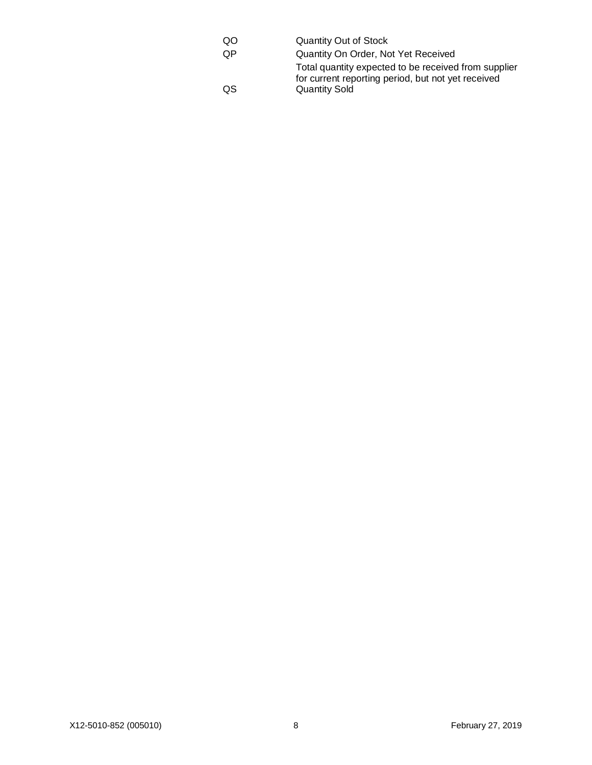| QO | <b>Quantity Out of Stock</b>                                                                               |
|----|------------------------------------------------------------------------------------------------------------|
| 0P | Quantity On Order, Not Yet Received                                                                        |
|    | Total quantity expected to be received from supplier<br>for current reporting period, but not yet received |
| QS | <b>Quantity Sold</b>                                                                                       |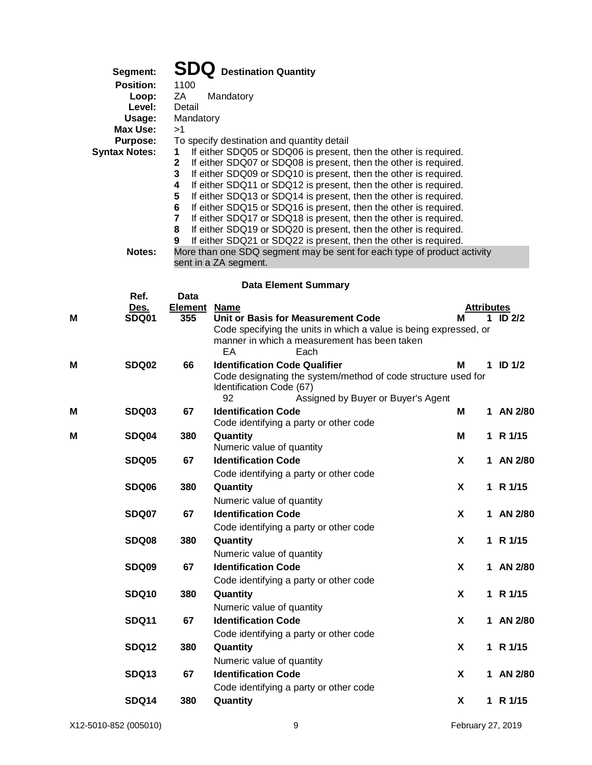|   | Segment:<br><b>Position:</b><br>Loop:<br>Level:<br>Usage:<br><b>Max Use:</b><br><b>Purpose:</b><br><b>Syntax Notes:</b><br>Notes: | 1100<br>ZA<br>Detail<br>Mandatory<br>>1<br>1<br>$\mathbf 2$<br>3<br>4<br>5<br>6<br>7<br>8<br>9 | <b>SDQ</b> Destination Quantity<br>Mandatory<br>To specify destination and quantity detail<br>If either SDQ05 or SDQ06 is present, then the other is required.<br>If either SDQ07 or SDQ08 is present, then the other is required.<br>If either SDQ09 or SDQ10 is present, then the other is required.<br>If either SDQ11 or SDQ12 is present, then the other is required.<br>If either SDQ13 or SDQ14 is present, then the other is required.<br>If either SDQ15 or SDQ16 is present, then the other is required.<br>If either SDQ17 or SDQ18 is present, then the other is required.<br>If either SDQ19 or SDQ20 is present, then the other is required.<br>If either SDQ21 or SDQ22 is present, then the other is required.<br>More than one SDQ segment may be sent for each type of product activity |                   |             |                   |
|---|-----------------------------------------------------------------------------------------------------------------------------------|------------------------------------------------------------------------------------------------|-----------------------------------------------------------------------------------------------------------------------------------------------------------------------------------------------------------------------------------------------------------------------------------------------------------------------------------------------------------------------------------------------------------------------------------------------------------------------------------------------------------------------------------------------------------------------------------------------------------------------------------------------------------------------------------------------------------------------------------------------------------------------------------------------------------|-------------------|-------------|-------------------|
|   |                                                                                                                                   |                                                                                                | sent in a ZA segment.                                                                                                                                                                                                                                                                                                                                                                                                                                                                                                                                                                                                                                                                                                                                                                                     |                   |             |                   |
|   |                                                                                                                                   |                                                                                                | <b>Data Element Summary</b>                                                                                                                                                                                                                                                                                                                                                                                                                                                                                                                                                                                                                                                                                                                                                                               |                   |             |                   |
|   | Ref.<br>Des.                                                                                                                      | Data<br><b>Element</b>                                                                         | <b>Name</b>                                                                                                                                                                                                                                                                                                                                                                                                                                                                                                                                                                                                                                                                                                                                                                                               | <b>Attributes</b> |             |                   |
| М | <b>SDQ01</b>                                                                                                                      | 355                                                                                            | Unit or Basis for Measurement Code                                                                                                                                                                                                                                                                                                                                                                                                                                                                                                                                                                                                                                                                                                                                                                        | м                 | $\mathbf 1$ | ID <sub>2/2</sub> |
|   |                                                                                                                                   |                                                                                                | Code specifying the units in which a value is being expressed, or<br>manner in which a measurement has been taken<br>EA<br>Each                                                                                                                                                                                                                                                                                                                                                                                                                                                                                                                                                                                                                                                                           |                   |             |                   |
| M | SDQ02                                                                                                                             | 66                                                                                             | <b>Identification Code Qualifier</b><br>Code designating the system/method of code structure used for<br>Identification Code (67)<br>92<br>Assigned by Buyer or Buyer's Agent                                                                                                                                                                                                                                                                                                                                                                                                                                                                                                                                                                                                                             | М                 |             | $1$ ID $1/2$      |
| Μ | <b>SDQ03</b>                                                                                                                      | 67                                                                                             | <b>Identification Code</b><br>Code identifying a party or other code                                                                                                                                                                                                                                                                                                                                                                                                                                                                                                                                                                                                                                                                                                                                      | Μ                 |             | 1 AN 2/80         |
| M | SDQ04                                                                                                                             | 380                                                                                            | Quantity<br>Numeric value of quantity                                                                                                                                                                                                                                                                                                                                                                                                                                                                                                                                                                                                                                                                                                                                                                     | M                 |             | 1 R 1/15          |
|   | SDQ05                                                                                                                             | 67                                                                                             | <b>Identification Code</b>                                                                                                                                                                                                                                                                                                                                                                                                                                                                                                                                                                                                                                                                                                                                                                                | X                 | 1           | AN 2/80           |
|   |                                                                                                                                   |                                                                                                | Code identifying a party or other code                                                                                                                                                                                                                                                                                                                                                                                                                                                                                                                                                                                                                                                                                                                                                                    |                   |             |                   |
|   | SDQ06                                                                                                                             | 380                                                                                            | Quantity                                                                                                                                                                                                                                                                                                                                                                                                                                                                                                                                                                                                                                                                                                                                                                                                  | X                 |             | 1 R 1/15          |
|   |                                                                                                                                   |                                                                                                | Numeric value of quantity                                                                                                                                                                                                                                                                                                                                                                                                                                                                                                                                                                                                                                                                                                                                                                                 |                   |             |                   |
|   | <b>SDQ07</b>                                                                                                                      | 67                                                                                             | <b>Identification Code</b><br>Code identifying a party or other code                                                                                                                                                                                                                                                                                                                                                                                                                                                                                                                                                                                                                                                                                                                                      | X                 |             | 1 AN 2/80         |
|   | SDQ08                                                                                                                             | 380                                                                                            | Quantity                                                                                                                                                                                                                                                                                                                                                                                                                                                                                                                                                                                                                                                                                                                                                                                                  | X                 |             | 1 R 1/15          |
|   |                                                                                                                                   |                                                                                                | Numeric value of quantity                                                                                                                                                                                                                                                                                                                                                                                                                                                                                                                                                                                                                                                                                                                                                                                 |                   |             |                   |
|   | SDQ09                                                                                                                             | 67                                                                                             | <b>Identification Code</b>                                                                                                                                                                                                                                                                                                                                                                                                                                                                                                                                                                                                                                                                                                                                                                                | X                 |             | 1 AN 2/80         |
|   | <b>SDQ10</b>                                                                                                                      | 380                                                                                            | Code identifying a party or other code<br>Quantity                                                                                                                                                                                                                                                                                                                                                                                                                                                                                                                                                                                                                                                                                                                                                        | X                 |             | 1 R 1/15          |
|   |                                                                                                                                   |                                                                                                | Numeric value of quantity                                                                                                                                                                                                                                                                                                                                                                                                                                                                                                                                                                                                                                                                                                                                                                                 |                   |             |                   |
|   | <b>SDQ11</b>                                                                                                                      | 67                                                                                             | <b>Identification Code</b>                                                                                                                                                                                                                                                                                                                                                                                                                                                                                                                                                                                                                                                                                                                                                                                | X                 |             | 1 AN 2/80         |
|   |                                                                                                                                   |                                                                                                | Code identifying a party or other code                                                                                                                                                                                                                                                                                                                                                                                                                                                                                                                                                                                                                                                                                                                                                                    |                   |             |                   |
|   | <b>SDQ12</b>                                                                                                                      | 380                                                                                            | Quantity                                                                                                                                                                                                                                                                                                                                                                                                                                                                                                                                                                                                                                                                                                                                                                                                  | X                 |             | 1 R 1/15          |
|   | <b>SDQ13</b>                                                                                                                      | 67                                                                                             | Numeric value of quantity<br><b>Identification Code</b>                                                                                                                                                                                                                                                                                                                                                                                                                                                                                                                                                                                                                                                                                                                                                   | X                 |             | 1 AN 2/80         |
|   |                                                                                                                                   |                                                                                                | Code identifying a party or other code                                                                                                                                                                                                                                                                                                                                                                                                                                                                                                                                                                                                                                                                                                                                                                    |                   |             |                   |
|   | <b>SDQ14</b>                                                                                                                      | 380                                                                                            | Quantity                                                                                                                                                                                                                                                                                                                                                                                                                                                                                                                                                                                                                                                                                                                                                                                                  | X                 |             | 1 R 1/15          |
|   |                                                                                                                                   |                                                                                                |                                                                                                                                                                                                                                                                                                                                                                                                                                                                                                                                                                                                                                                                                                                                                                                                           |                   |             |                   |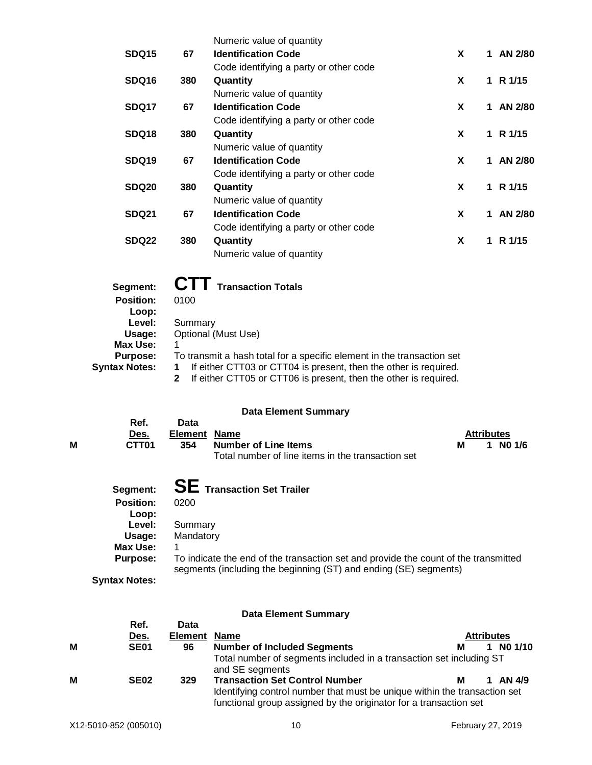|                   |     | Numeric value of quantity              |   |               |
|-------------------|-----|----------------------------------------|---|---------------|
| SDQ <sub>15</sub> | 67  | <b>Identification Code</b>             | X | AN 2/80<br>1. |
|                   |     | Code identifying a party or other code |   |               |
| <b>SDQ16</b>      | 380 | Quantity                               | X | R 1/15<br>1   |
|                   |     | Numeric value of quantity              |   |               |
| SDQ17             | 67  | <b>Identification Code</b>             | X | AN 2/80<br>1. |
|                   |     | Code identifying a party or other code |   |               |
| SDQ18             | 380 | Quantity                               | X | 1 R $1/15$    |
|                   |     | Numeric value of quantity              |   |               |
| SDQ <sub>19</sub> | 67  | <b>Identification Code</b>             | X | AN 2/80<br>1. |
|                   |     | Code identifying a party or other code |   |               |
| SDQ <sub>20</sub> | 380 | Quantity                               | X | 1 R $1/15$    |
|                   |     | Numeric value of quantity              |   |               |
| <b>SDQ21</b>      | 67  | <b>Identification Code</b>             | X | AN 2/80<br>1  |
|                   |     | Code identifying a party or other code |   |               |
| SDQ22             | 380 | Quantity                               | X | R 1/15<br>1   |
|                   |     | Numeric value of quantity              |   |               |

| Segment:             | <b>CTT</b> Transaction Totals                                          |
|----------------------|------------------------------------------------------------------------|
| <b>Position:</b>     | 0100                                                                   |
| Loop:                |                                                                        |
| Level:               | Summary                                                                |
| Usage:               | Optional (Must Use)                                                    |
| Max Use:             |                                                                        |
| <b>Purpose:</b>      | To transmit a hash total for a specific element in the transaction set |
| <b>Syntax Notes:</b> | If either CTT03 or CTT04 is present, then the other is required.       |
|                      | If either CTT05 or CTT06 is present, then the other is required.       |

## **Data Element Summary**

|                      | Ref.<br>Des.              | Data<br><b>Element</b><br><b>Name</b>                                                                                                                   |   | <b>Attributes</b> |        |
|----------------------|---------------------------|---------------------------------------------------------------------------------------------------------------------------------------------------------|---|-------------------|--------|
| M                    | CTT <sub>01</sub>         | 354<br><b>Number of Line Items</b><br>Total number of line items in the transaction set                                                                 | м |                   | NO 1/6 |
|                      | Segment:                  | <b>SE</b> Transaction Set Trailer                                                                                                                       |   |                   |        |
|                      | <b>Position:</b><br>Loop: | 0200                                                                                                                                                    |   |                   |        |
|                      | Level:                    | Summary                                                                                                                                                 |   |                   |        |
|                      | Usage:                    | Mandatory                                                                                                                                               |   |                   |        |
|                      | Max Use:                  | 1                                                                                                                                                       |   |                   |        |
|                      | Purpose:                  | To indicate the end of the transaction set and provide the count of the transmitted<br>segments (including the beginning (ST) and ending (SE) segments) |   |                   |        |
| <b>Syntax Notes:</b> |                           |                                                                                                                                                         |   |                   |        |

## **Data Element Summary**

|   |                  |                             | Dala Lighterii Quinnial y                                                                                                                                                               |   |                   |
|---|------------------|-----------------------------|-----------------------------------------------------------------------------------------------------------------------------------------------------------------------------------------|---|-------------------|
|   | Ref.<br>Des.     | Data<br><b>Element Name</b> |                                                                                                                                                                                         |   | <b>Attributes</b> |
| М | <b>SE01</b>      | 96                          | <b>Number of Included Segments</b>                                                                                                                                                      | м | $1$ NO $1/10$     |
|   |                  |                             | Total number of segments included in a transaction set including ST<br>and SE segments                                                                                                  |   |                   |
| M | SE <sub>02</sub> | 329                         | <b>Transaction Set Control Number</b><br>Identifying control number that must be unique within the transaction set<br>functional group assigned by the originator for a transaction set | м | AN 4/9            |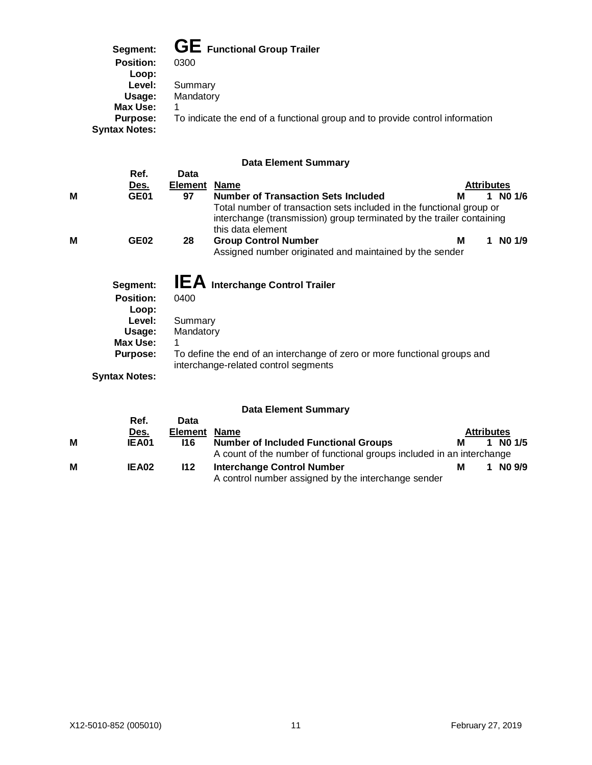**Segment: GE Functional Group Trailer**

| ovgnoru.             |                                                                              |
|----------------------|------------------------------------------------------------------------------|
| <b>Position:</b>     | 0300                                                                         |
| Loop:                |                                                                              |
| Level:               | Summary                                                                      |
| Usage:               | Mandatory                                                                    |
| Max Use:             |                                                                              |
| Purpose:             | To indicate the end of a functional group and to provide control information |
| <b>Syntax Notes:</b> |                                                                              |
|                      |                                                                              |

## **Data Element Summary**

|   | Ref.                                                                                                             | Data                         |                                                                                                                                                                    |                   |          |
|---|------------------------------------------------------------------------------------------------------------------|------------------------------|--------------------------------------------------------------------------------------------------------------------------------------------------------------------|-------------------|----------|
|   | <u>Des.</u>                                                                                                      | <b>Element</b>               | <b>Name</b>                                                                                                                                                        | <b>Attributes</b> |          |
| М | <b>GE01</b>                                                                                                      | 97                           | <b>Number of Transaction Sets Included</b>                                                                                                                         | м                 | 1 NO 1/6 |
|   |                                                                                                                  |                              | Total number of transaction sets included in the functional group or<br>interchange (transmission) group terminated by the trailer containing<br>this data element |                   |          |
| М | <b>GE02</b>                                                                                                      | 28                           | <b>Group Control Number</b><br>Assigned number originated and maintained by the sender                                                                             | м                 | NO 1/9   |
|   | Segment:<br><b>Position:</b><br>Loop:<br>Level:<br>Usage:<br>Max Use:<br><b>Purpose:</b><br><b>Syntax Notes:</b> | 0400<br>Summary<br>Mandatory | <b>IEA</b> Interchange Control Trailer<br>To define the end of an interchange of zero or more functional groups and<br>interchange-related control segments        |                   |          |
|   |                                                                                                                  |                              |                                                                                                                                                                    |                   |          |

## **Data Element Summary**

|   |              |                     | Data Element Summary                                                                     |   |                   |        |
|---|--------------|---------------------|------------------------------------------------------------------------------------------|---|-------------------|--------|
|   | Ref.         | Data                |                                                                                          |   |                   |        |
|   | <u>Des.</u>  | <b>Element Name</b> |                                                                                          |   | <b>Attributes</b> |        |
| M | <b>IEA01</b> | <b>116</b>          | <b>Number of Included Functional Groups</b>                                              | М |                   | NO 1/5 |
|   |              |                     | A count of the number of functional groups included in an interchange                    |   |                   |        |
| M | IEA02        | 112                 | <b>Interchange Control Number</b><br>A control number assigned by the interchange sender | м |                   | NO 9/9 |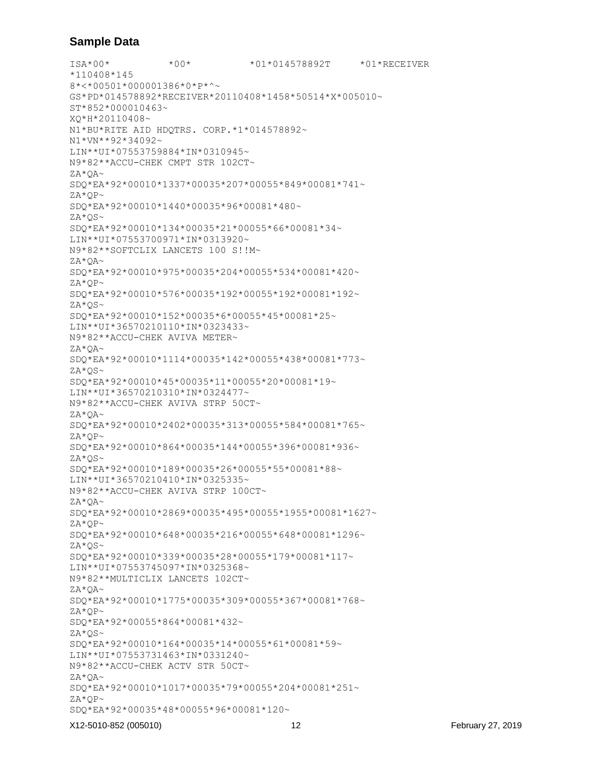## **Sample Data**

ISA\*00\* \*00\* \*01\*014578892T \*01\*RECEIVER \*110408\*145 8\*<\*00501\*000001386\*0\*P\*^~ GS\*PD\*014578892\*RECEIVER\*20110408\*1458\*50514\*X\*005010~ ST\*852\*000010463~ XQ\*H\*20110408~ N1\*BU\*RITE AID HDQTRS. CORP.\*1\*014578892~ N1\*VN\*\*92\*34092~ LIN\*\*UI\*07553759884\*IN\*0310945~ N9\*82\*\*ACCU-CHEK CMPT STR 102CT~ ZA\*QA~ SDQ\*EA\*92\*00010\*1337\*00035\*207\*00055\*849\*00081\*741~ ZA\*QP~ SDQ\*EA\*92\*00010\*1440\*00035\*96\*00081\*480~ ZA\*QS~ SDQ\*EA\*92\*00010\*134\*00035\*21\*00055\*66\*00081\*34~ LIN\*\*UI\*07553700971\*IN\*0313920~ N9\*82\*\*SOFTCLIX LANCETS 100 S!!M~  $ZA^*OA \sim$ SDQ\*EA\*92\*00010\*975\*00035\*204\*00055\*534\*00081\*420~ ZA\*QP~ SDQ\*EA\*92\*00010\*576\*00035\*192\*00055\*192\*00081\*192~  $ZA*QS~$ SDQ\*EA\*92\*00010\*152\*00035\*6\*00055\*45\*00081\*25~ LIN\*\*UI\*36570210110\*IN\*0323433~ N9\*82\*\*ACCU-CHEK AVIVA METER~ ZA\*QA~ SDQ\*EA\*92\*00010\*1114\*00035\*142\*00055\*438\*00081\*773~  $ZA*OS~$ SDQ\*EA\*92\*00010\*45\*00035\*11\*00055\*20\*00081\*19~ LIN\*\*UI\*36570210310\*IN\*0324477~ N9\*82\*\*ACCU-CHEK AVIVA STRP 50CT~ ZA\*QA~ SDQ\*EA\*92\*00010\*2402\*00035\*313\*00055\*584\*00081\*765~ ZA\*QP~ SDQ\*EA\*92\*00010\*864\*00035\*144\*00055\*396\*00081\*936~  $ZA^{\star}QS$ ~ SDQ\*EA\*92\*00010\*189\*00035\*26\*00055\*55\*00081\*88~ LIN\*\*UI\*36570210410\*IN\*0325335~ N9\*82\*\*ACCU-CHEK AVIVA STRP 100CT~ ZA\*QA~ SDQ\*EA\*92\*00010\*2869\*00035\*495\*00055\*1955\*00081\*1627~ ZA\*QP~ SDQ\*EA\*92\*00010\*648\*00035\*216\*00055\*648\*00081\*1296~  $ZA*OS~$ SDQ\*EA\*92\*00010\*339\*00035\*28\*00055\*179\*00081\*117~ LIN\*\*UI\*07553745097\*IN\*0325368~ N9\*82\*\*MULTICLIX LANCETS 102CT~ ZA\*QA~ SDQ\*EA\*92\*00010\*1775\*00035\*309\*00055\*367\*00081\*768~ ZA\*QP~ SDQ\*EA\*92\*00055\*864\*00081\*432~ ZA\*QS~ SDQ\*EA\*92\*00010\*164\*00035\*14\*00055\*61\*00081\*59~ LIN\*\*UI\*07553731463\*IN\*0331240~ N9\*82\*\*ACCU-CHEK ACTV STR 50CT~ ZA\*QA~ SDQ\*EA\*92\*00010\*1017\*00035\*79\*00055\*204\*00081\*251~ ZA\*QP~ SDQ\*EA\*92\*00035\*48\*00055\*96\*00081\*120~

#### X12-5010-852 (005010) 12 February 27, 2019